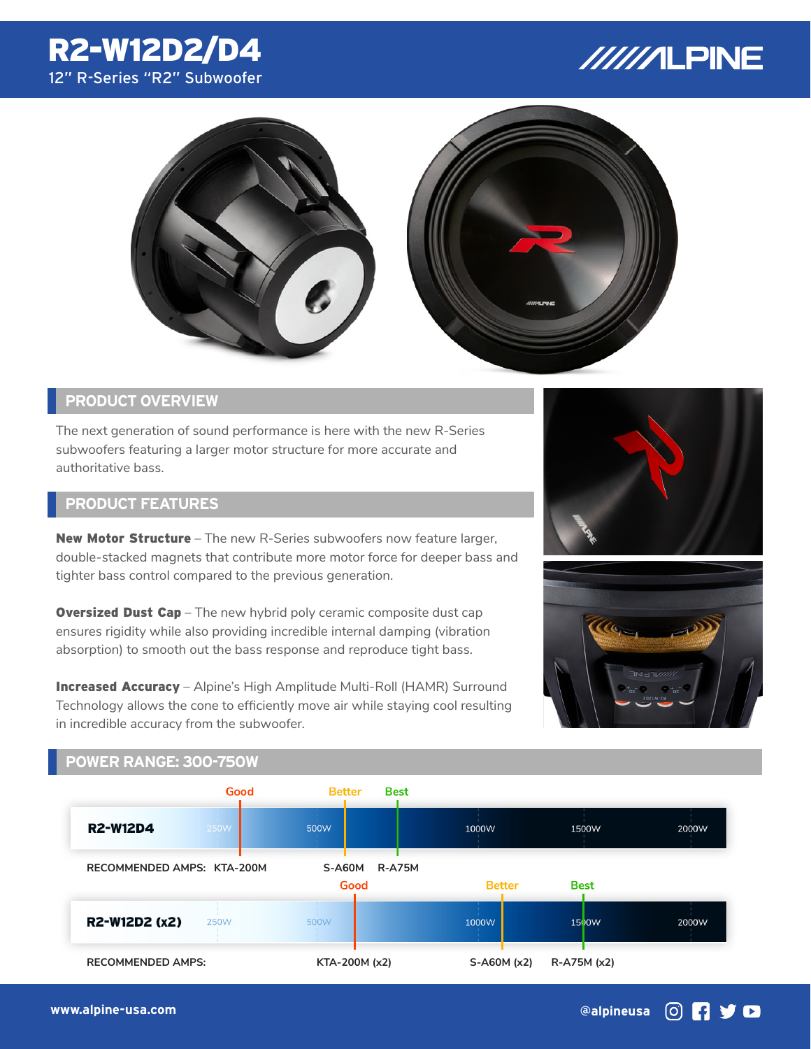# R2-W12D2/D4 12" R-Series "R2" Subwoofer

# //////LPINE



## **PRODUCT OVERVIEW**

The next generation of sound performance is here with the new R-Series subwoofers featuring a larger motor structure for more accurate and authoritative bass.

### **PRODUCT FEATURES**

**New Motor Structure** – The new R-Series subwoofers now feature larger, double-stacked magnets that contribute more motor force for deeper bass and tighter bass control compared to the previous generation.

**Oversized Dust Cap** – The new hybrid poly ceramic composite dust cap ensures rigidity while also providing incredible internal damping (vibration absorption) to smooth out the bass response and reproduce tight bass.

Increased Accuracy – Alpine's High Amplitude Multi-Roll (HAMR) Surround Technology allows the cone to efficiently move air while staying cool resulting in incredible accuracy from the subwoofer.





#### **POWER RANGE: 300-750W**